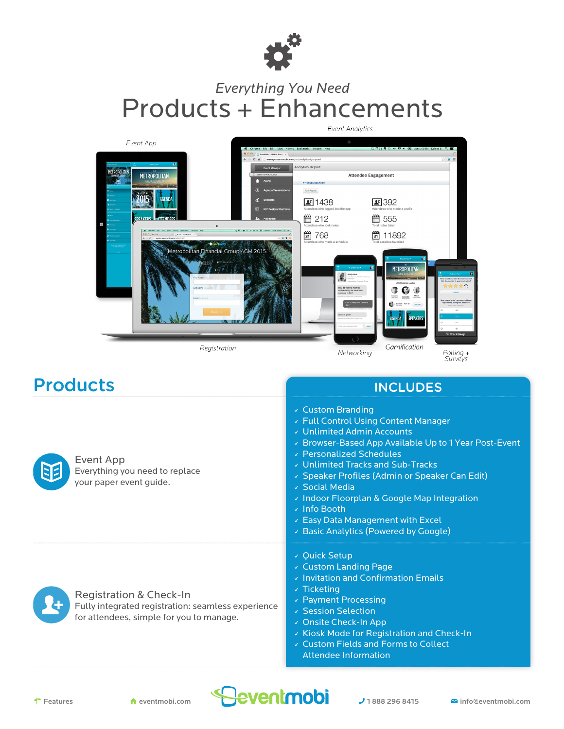

## *Everything You Need* Products + Enhancements



| <b>Products</b>                                                                                                           | <b>INCLUDES</b>                                                                                                                                                                                                                                                                                                                                                                                                              |  |
|---------------------------------------------------------------------------------------------------------------------------|------------------------------------------------------------------------------------------------------------------------------------------------------------------------------------------------------------------------------------------------------------------------------------------------------------------------------------------------------------------------------------------------------------------------------|--|
| Event App<br>Everything you need to replace<br>your paper event guide.                                                    | ↓ Custom Branding<br>↓ Full Control Using Content Manager<br>↓ Unlimited Admin Accounts<br>Drowser-Based App Available Up to 1 Year Post-Event<br>↓ Personalized Schedules<br>↓ Unlimited Tracks and Sub-Tracks<br>↓ Speaker Profiles (Admin or Speaker Can Edit)<br>↓ Social Media<br>↓ Indoor Floorplan & Google Map Integration<br>√ Info Booth<br>Easy Data Management with Excel<br>Basic Analytics (Powered by Google) |  |
| Registration & Check-In<br>Fully integrated registration: seamless experience<br>for attendees, simple for you to manage. | ↓ Quick Setup<br>v Custom Landing Page<br>v Invitation and Confirmation Emails<br>$\sqrt{}$ Ticketing<br>↓ Payment Processing<br>↓ Session Selection<br>↓ Onsite Check-In App<br>↓ Kiosk Mode for Registration and Check-In<br>↓ Custom Fields and Forms to Collect<br>Attendee Information                                                                                                                                  |  |

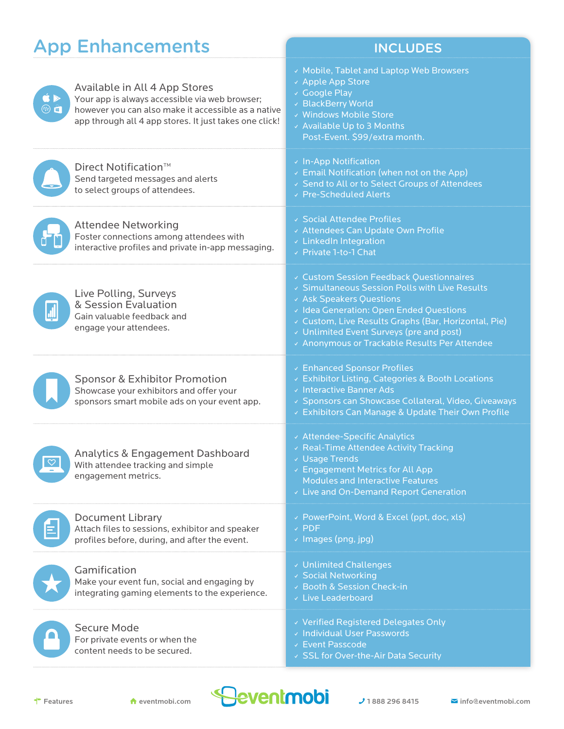|                                                                                                                                                                                                                                                                         | <b>App Enhancements</b>                                                                                                                                                                          | <b>INCLUDES</b>                                                                                                                                                                                                                                                                                                      |
|-------------------------------------------------------------------------------------------------------------------------------------------------------------------------------------------------------------------------------------------------------------------------|--------------------------------------------------------------------------------------------------------------------------------------------------------------------------------------------------|----------------------------------------------------------------------------------------------------------------------------------------------------------------------------------------------------------------------------------------------------------------------------------------------------------------------|
| $\begin{picture}(160,17)(-10,17)(-10,17)(-10,17)(-10,17)(-10,17)(-10,17)(-10,17)(-10,17)(-10,17)(-10,17)(-10,17)(-10,17)(-10,17)(-10,17)(-10,17)(-10,17)(-10,17)(-10,17)(-10,17)(-10,17)(-10,17)(-10,17)(-10,17)(-10,17)(-10,17)(-10,17)(-10,17)(-10,17)(-10,17)(-10,1$ | Available in All 4 App Stores<br>Your app is always accessible via web browser;<br>however you can also make it accessible as a native<br>app through all 4 app stores. It just takes one click! | v Mobile, Tablet and Laptop Web Browsers<br>↓ Apple App Store<br>v Google Play<br>v BlackBerry World<br>v Windows Mobile Store<br>v Available Up to 3 Months<br>Post-Event. \$99/extra month.                                                                                                                        |
|                                                                                                                                                                                                                                                                         | Direct Notification <sup>™</sup><br>Send targeted messages and alerts<br>to select groups of attendees.                                                                                          | v In-App Notification<br>Email Notification (when not on the App)<br>↓ Send to All or to Select Groups of Attendees<br>↓ Pre-Scheduled Alerts                                                                                                                                                                        |
|                                                                                                                                                                                                                                                                         | <b>Attendee Networking</b><br>Foster connections among attendees with<br>interactive profiles and private in-app messaging.                                                                      | ↓ Social Attendee Profiles<br>« Attendees Can Update Own Profile<br>LinkedIn Integration<br>↓ Private 1-to-1 Chat                                                                                                                                                                                                    |
|                                                                                                                                                                                                                                                                         | Live Polling, Surveys<br>& Session Evaluation<br>Gain valuable feedback and<br>engage your attendees.                                                                                            | v Custom Session Feedback Questionnaires<br>↓ Simultaneous Session Polls with Live Results<br>v Ask Speakers Questions<br>v Idea Generation: Open Ended Questions<br>v Custom, Live Results Graphs (Bar, Horizontal, Pie)<br>Unlimited Event Surveys (pre and post)<br>« Anonymous or Trackable Results Per Attendee |
|                                                                                                                                                                                                                                                                         | <b>Sponsor &amp; Exhibitor Promotion</b><br>Showcase your exhibitors and offer your<br>sponsors smart mobile ads on your event app.                                                              | Enhanced Sponsor Profiles<br>v Exhibitor Listing, Categories & Booth Locations<br>v Interactive Banner Ads<br>↓ Sponsors can Showcase Collateral, Video, Giveaways<br>v Exhibitors Can Manage & Update Their Own Profile                                                                                             |
|                                                                                                                                                                                                                                                                         | <b>Analytics &amp; Engagement Dashboard</b><br>With attendee tracking and simple<br>engagement metrics.                                                                                          | ← Attendee-Specific Analytics<br>↓ Real-Time Attendee Activity Tracking<br>↓ Usage Trends<br>Engagement Metrics for All App<br><b>Modules and Interactive Features</b><br>v Live and On-Demand Report Generation                                                                                                     |
|                                                                                                                                                                                                                                                                         | Document Library<br>Attach files to sessions, exhibitor and speaker<br>profiles before, during, and after the event.                                                                             | v PowerPoint, Word & Excel (ppt, doc, xls)<br>$\times$ PDF<br>$\vee$ Images (png, jpg)                                                                                                                                                                                                                               |
|                                                                                                                                                                                                                                                                         | Gamification<br>Make your event fun, social and engaging by<br>integrating gaming elements to the experience.                                                                                    | v Unlimited Challenges<br>v Social Networking<br>↓ Booth & Session Check-in<br>v Live Leaderboard                                                                                                                                                                                                                    |
|                                                                                                                                                                                                                                                                         | Secure Mode<br>For private events or when the<br>content needs to be secured.                                                                                                                    | v Verified Registered Delegates Only<br>v Individual User Passwords<br>v Event Passcode<br>↓ SSL for Over-the-Air Data Security                                                                                                                                                                                      |